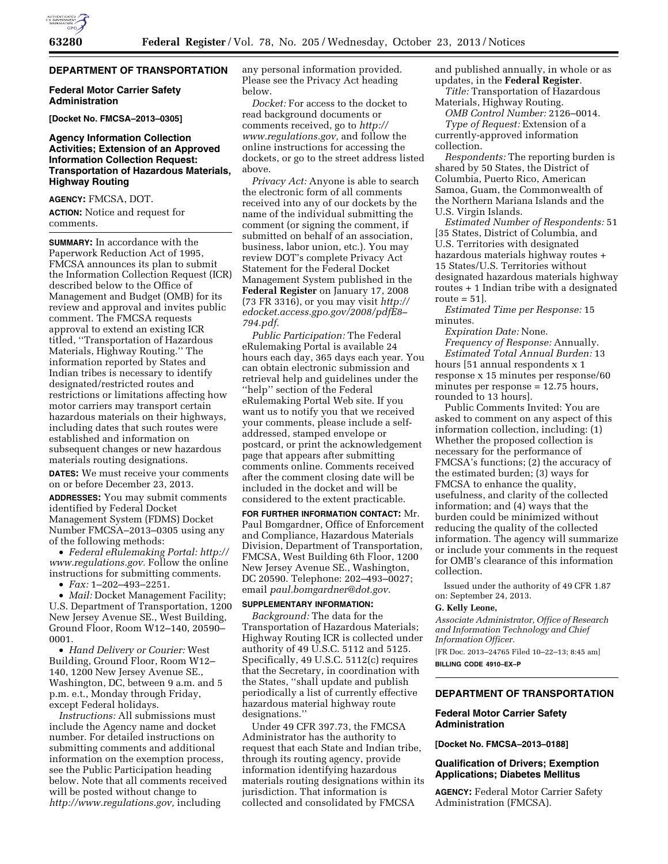# **DEPARTMENT OF TRANSPORTATION**

### **Federal Motor Carrier Safety Administration**

**[Docket No. FMCSA–2013–0305]** 

## **Agency Information Collection Activities; Extension of an Approved Information Collection Request: Transportation of Hazardous Materials, Highway Routing**

**AGENCY:** FMCSA, DOT.

**ACTION:** Notice and request for comments.

**SUMMARY:** In accordance with the Paperwork Reduction Act of 1995, FMCSA announces its plan to submit the Information Collection Request (ICR) described below to the Office of Management and Budget (OMB) for its review and approval and invites public comment. The FMCSA requests approval to extend an existing ICR titled, ''Transportation of Hazardous Materials, Highway Routing.'' The information reported by States and Indian tribes is necessary to identify designated/restricted routes and restrictions or limitations affecting how motor carriers may transport certain hazardous materials on their highways, including dates that such routes were established and information on subsequent changes or new hazardous materials routing designations.

**DATES:** We must receive your comments on or before December 23, 2013.

**ADDRESSES:** You may submit comments identified by Federal Docket Management System (FDMS) Docket Number FMCSA–2013–0305 using any of the following methods:

• *Federal eRulemaking Portal: [http://](http://www.regulations.gov)  [www.regulations.gov.](http://www.regulations.gov)* Follow the online instructions for submitting comments.

• *Fax:* 1–202–493–2251.

• *Mail:* Docket Management Facility; U.S. Department of Transportation, 1200 New Jersey Avenue SE., West Building, Ground Floor, Room W12–140, 20590– 0001.

• *Hand Delivery or Courier:* West Building, Ground Floor, Room W12– 140, 1200 New Jersey Avenue SE., Washington, DC, between 9 a.m. and 5 p.m. e.t., Monday through Friday, except Federal holidays.

*Instructions:* All submissions must include the Agency name and docket number. For detailed instructions on submitting comments and additional information on the exemption process, see the Public Participation heading below. Note that all comments received will be posted without change to *[http://www.regulations.gov,](http://www.regulations.gov)* including

any personal information provided. Please see the Privacy Act heading below.

*Docket:* For access to the docket to read background documents or comments received, go to *[http://](http://www.regulations.gov) [www.regulations.gov,](http://www.regulations.gov)* and follow the online instructions for accessing the dockets, or go to the street address listed above.

*Privacy Act:* Anyone is able to search the electronic form of all comments received into any of our dockets by the name of the individual submitting the comment (or signing the comment, if submitted on behalf of an association, business, labor union, etc.). You may review DOT's complete Privacy Act Statement for the Federal Docket Management System published in the **Federal Register** on January 17, 2008 (73 FR 3316), or you may visit *[http://](http://edocket.access.gpo.gov/2008/pdfE8-794.pdf) [edocket.access.gpo.gov/2008/pdfE8–](http://edocket.access.gpo.gov/2008/pdfE8-794.pdf) [794.pdf.](http://edocket.access.gpo.gov/2008/pdfE8-794.pdf)* 

*Public Participation:* The Federal eRulemaking Portal is available 24 hours each day, 365 days each year. You can obtain electronic submission and retrieval help and guidelines under the ''help'' section of the Federal eRulemaking Portal Web site. If you want us to notify you that we received your comments, please include a selfaddressed, stamped envelope or postcard, or print the acknowledgement page that appears after submitting comments online. Comments received after the comment closing date will be included in the docket and will be considered to the extent practicable.

**FOR FURTHER INFORMATION CONTACT:** Mr. Paul Bomgardner, Office of Enforcement and Compliance, Hazardous Materials Division, Department of Transportation, FMCSA, West Building 6th Floor, 1200 New Jersey Avenue SE., Washington, DC 20590. Telephone: 202–493–0027; email *[paul.bomgardner@dot.gov.](mailto:paul.bomgardner@dot.gov)* 

# **SUPPLEMENTARY INFORMATION:**

*Background:* The data for the Transportation of Hazardous Materials; Highway Routing ICR is collected under authority of 49 U.S.C. 5112 and 5125. Specifically, 49 U.S.C. 5112(c) requires that the Secretary, in coordination with the States, ''shall update and publish periodically a list of currently effective hazardous material highway route designations.''

Under 49 CFR 397.73, the FMCSA Administrator has the authority to request that each State and Indian tribe, through its routing agency, provide information identifying hazardous materials routing designations within its jurisdiction. That information is collected and consolidated by FMCSA

and published annually, in whole or as updates, in the **Federal Register**.

*Title:* Transportation of Hazardous Materials, Highway Routing.

*OMB Control Number:* 2126–0014. *Type of Request:* Extension of a

currently-approved information collection.

*Respondents:* The reporting burden is shared by 50 States, the District of Columbia, Puerto Rico, American Samoa, Guam, the Commonwealth of the Northern Mariana Islands and the U.S. Virgin Islands.

*Estimated Number of Respondents:* 51 [35 States, District of Columbia, and U.S. Territories with designated hazardous materials highway routes + 15 States/U.S. Territories without designated hazardous materials highway routes + 1 Indian tribe with a designated route  $= 51$ ].

*Estimated Time per Response:* 15 minutes.

*Expiration Date:* None. *Frequency of Response:* Annually. *Estimated Total Annual Burden:* 13 hours [51 annual respondents x 1 response x 15 minutes per response/60 minutes per response = 12.75 hours, rounded to 13 hours].

Public Comments Invited: You are asked to comment on any aspect of this information collection, including: (1) Whether the proposed collection is necessary for the performance of FMCSA's functions; (2) the accuracy of the estimated burden; (3) ways for FMCSA to enhance the quality, usefulness, and clarity of the collected information; and (4) ways that the burden could be minimized without reducing the quality of the collected information. The agency will summarize or include your comments in the request for OMB's clearance of this information collection.

Issued under the authority of 49 CFR 1.87 on: September 24, 2013.

#### **G. Kelly Leone,**

*Associate Administrator, Office of Research and Information Technology and Chief Information Officer.* 

[FR Doc. 2013–24765 Filed 10–22–13; 8:45 am] **BILLING CODE 4910–EX–P** 

### **DEPARTMENT OF TRANSPORTATION**

## **Federal Motor Carrier Safety Administration**

**[Docket No. FMCSA–2013–0188]** 

## **Qualification of Drivers; Exemption Applications; Diabetes Mellitus**

**AGENCY:** Federal Motor Carrier Safety Administration (FMCSA).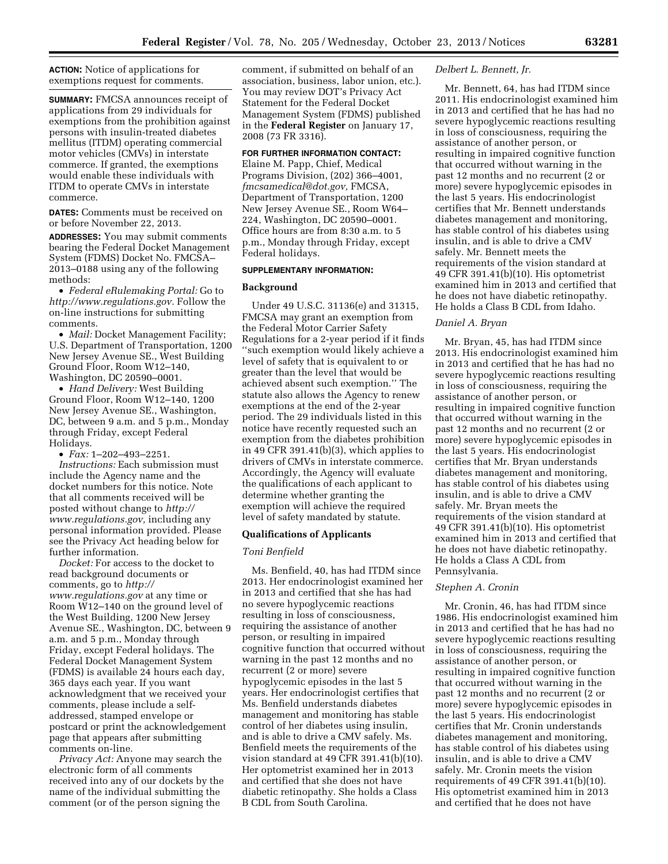**ACTION:** Notice of applications for exemptions request for comments.

**SUMMARY:** FMCSA announces receipt of applications from 29 individuals for exemptions from the prohibition against persons with insulin-treated diabetes mellitus (ITDM) operating commercial motor vehicles (CMVs) in interstate commerce. If granted, the exemptions would enable these individuals with ITDM to operate CMVs in interstate commerce.

**DATES:** Comments must be received on or before November 22, 2013.

**ADDRESSES:** You may submit comments bearing the Federal Docket Management System (FDMS) Docket No. FMCSA– 2013–0188 using any of the following methods:

• *Federal eRulemaking Portal:* Go to *[http://www.regulations.gov.](http://www.regulations.gov)* Follow the on-line instructions for submitting comments.

• *Mail:* Docket Management Facility; U.S. Department of Transportation, 1200 New Jersey Avenue SE., West Building Ground Floor, Room W12–140, Washington, DC 20590–0001.

• *Hand Delivery:* West Building Ground Floor, Room W12–140, 1200 New Jersey Avenue SE., Washington, DC, between 9 a.m. and 5 p.m., Monday through Friday, except Federal Holidays.

• *Fax:* 1–202–493–2251.

*Instructions:* Each submission must include the Agency name and the docket numbers for this notice. Note that all comments received will be posted without change to *[http://](http://www.regulations.gov) [www.regulations.gov,](http://www.regulations.gov)* including any personal information provided. Please see the Privacy Act heading below for further information.

*Docket:* For access to the docket to read background documents or comments, go to *[http://](http://www.regulations.gov) [www.regulations.gov](http://www.regulations.gov)* at any time or Room W12–140 on the ground level of the West Building, 1200 New Jersey Avenue SE., Washington, DC, between 9 a.m. and 5 p.m., Monday through Friday, except Federal holidays. The Federal Docket Management System (FDMS) is available 24 hours each day, 365 days each year. If you want acknowledgment that we received your comments, please include a selfaddressed, stamped envelope or postcard or print the acknowledgement page that appears after submitting comments on-line.

*Privacy Act:* Anyone may search the electronic form of all comments received into any of our dockets by the name of the individual submitting the comment (or of the person signing the

comment, if submitted on behalf of an association, business, labor union, etc.). You may review DOT's Privacy Act Statement for the Federal Docket Management System (FDMS) published in the **Federal Register** on January 17, 2008 (73 FR 3316).

## **FOR FURTHER INFORMATION CONTACT:**

Elaine M. Papp, Chief, Medical Programs Division, (202) 366–4001, *[fmcsamedical@dot.gov,](mailto:fmcsamedical@dot.gov)* FMCSA, Department of Transportation, 1200 New Jersey Avenue SE., Room W64– 224, Washington, DC 20590–0001. Office hours are from 8:30 a.m. to 5 p.m., Monday through Friday, except Federal holidays.

#### **SUPPLEMENTARY INFORMATION:**

### **Background**

Under 49 U.S.C. 31136(e) and 31315, FMCSA may grant an exemption from the Federal Motor Carrier Safety Regulations for a 2-year period if it finds ''such exemption would likely achieve a level of safety that is equivalent to or greater than the level that would be achieved absent such exemption.'' The statute also allows the Agency to renew exemptions at the end of the 2-year period. The 29 individuals listed in this notice have recently requested such an exemption from the diabetes prohibition in 49 CFR 391.41(b)(3), which applies to drivers of CMVs in interstate commerce. Accordingly, the Agency will evaluate the qualifications of each applicant to determine whether granting the exemption will achieve the required level of safety mandated by statute.

#### **Qualifications of Applicants**

#### *Toni Benfield*

Ms. Benfield, 40, has had ITDM since 2013. Her endocrinologist examined her in 2013 and certified that she has had no severe hypoglycemic reactions resulting in loss of consciousness, requiring the assistance of another person, or resulting in impaired cognitive function that occurred without warning in the past 12 months and no recurrent (2 or more) severe hypoglycemic episodes in the last 5 years. Her endocrinologist certifies that Ms. Benfield understands diabetes management and monitoring has stable control of her diabetes using insulin, and is able to drive a CMV safely. Ms. Benfield meets the requirements of the vision standard at 49 CFR 391.41(b)(10). Her optometrist examined her in 2013 and certified that she does not have diabetic retinopathy. She holds a Class B CDL from South Carolina.

#### *Delbert L. Bennett, Jr.*

Mr. Bennett, 64, has had ITDM since 2011. His endocrinologist examined him in 2013 and certified that he has had no severe hypoglycemic reactions resulting in loss of consciousness, requiring the assistance of another person, or resulting in impaired cognitive function that occurred without warning in the past 12 months and no recurrent (2 or more) severe hypoglycemic episodes in the last 5 years. His endocrinologist certifies that Mr. Bennett understands diabetes management and monitoring, has stable control of his diabetes using insulin, and is able to drive a CMV safely. Mr. Bennett meets the requirements of the vision standard at 49 CFR 391.41(b)(10). His optometrist examined him in 2013 and certified that he does not have diabetic retinopathy. He holds a Class B CDL from Idaho.

### *Daniel A. Bryan*

Mr. Bryan, 45, has had ITDM since 2013. His endocrinologist examined him in 2013 and certified that he has had no severe hypoglycemic reactions resulting in loss of consciousness, requiring the assistance of another person, or resulting in impaired cognitive function that occurred without warning in the past 12 months and no recurrent (2 or more) severe hypoglycemic episodes in the last 5 years. His endocrinologist certifies that Mr. Bryan understands diabetes management and monitoring, has stable control of his diabetes using insulin, and is able to drive a CMV safely. Mr. Bryan meets the requirements of the vision standard at 49 CFR 391.41(b)(10). His optometrist examined him in 2013 and certified that he does not have diabetic retinopathy. He holds a Class A CDL from Pennsylvania.

#### *Stephen A. Cronin*

Mr. Cronin, 46, has had ITDM since 1986. His endocrinologist examined him in 2013 and certified that he has had no severe hypoglycemic reactions resulting in loss of consciousness, requiring the assistance of another person, or resulting in impaired cognitive function that occurred without warning in the past 12 months and no recurrent (2 or more) severe hypoglycemic episodes in the last 5 years. His endocrinologist certifies that Mr. Cronin understands diabetes management and monitoring, has stable control of his diabetes using insulin, and is able to drive a CMV safely. Mr. Cronin meets the vision requirements of 49 CFR 391.41(b)(10). His optometrist examined him in 2013 and certified that he does not have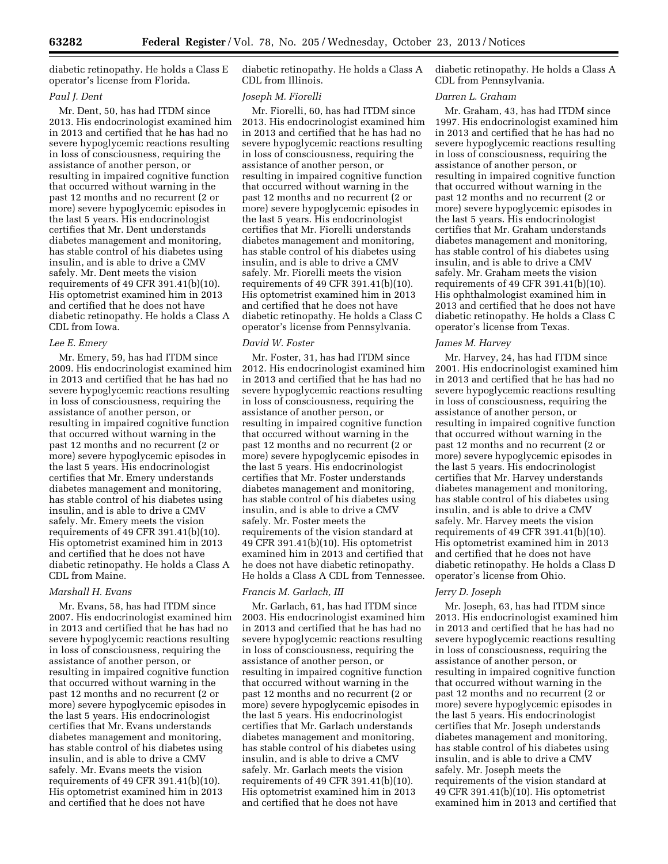diabetic retinopathy. He holds a Class E operator's license from Florida.

## *Paul J. Dent*

Mr. Dent, 50, has had ITDM since 2013. His endocrinologist examined him in 2013 and certified that he has had no severe hypoglycemic reactions resulting in loss of consciousness, requiring the assistance of another person, or resulting in impaired cognitive function that occurred without warning in the past 12 months and no recurrent (2 or more) severe hypoglycemic episodes in the last 5 years. His endocrinologist certifies that Mr. Dent understands diabetes management and monitoring, has stable control of his diabetes using insulin, and is able to drive a CMV safely. Mr. Dent meets the vision requirements of 49 CFR 391.41(b)(10). His optometrist examined him in 2013 and certified that he does not have diabetic retinopathy. He holds a Class A CDL from Iowa.

### *Lee E. Emery*

Mr. Emery, 59, has had ITDM since 2009. His endocrinologist examined him in 2013 and certified that he has had no severe hypoglycemic reactions resulting in loss of consciousness, requiring the assistance of another person, or resulting in impaired cognitive function that occurred without warning in the past 12 months and no recurrent (2 or more) severe hypoglycemic episodes in the last 5 years. His endocrinologist certifies that Mr. Emery understands diabetes management and monitoring, has stable control of his diabetes using insulin, and is able to drive a CMV safely. Mr. Emery meets the vision requirements of 49 CFR 391.41(b)(10). His optometrist examined him in 2013 and certified that he does not have diabetic retinopathy. He holds a Class A CDL from Maine.

## *Marshall H. Evans*

Mr. Evans, 58, has had ITDM since 2007. His endocrinologist examined him in 2013 and certified that he has had no severe hypoglycemic reactions resulting in loss of consciousness, requiring the assistance of another person, or resulting in impaired cognitive function that occurred without warning in the past 12 months and no recurrent (2 or more) severe hypoglycemic episodes in the last 5 years. His endocrinologist certifies that Mr. Evans understands diabetes management and monitoring, has stable control of his diabetes using insulin, and is able to drive a CMV safely. Mr. Evans meets the vision requirements of 49 CFR 391.41(b)(10). His optometrist examined him in 2013 and certified that he does not have

diabetic retinopathy. He holds a Class A CDL from Illinois.

#### *Joseph M. Fiorelli*

Mr. Fiorelli, 60, has had ITDM since 2013. His endocrinologist examined him in 2013 and certified that he has had no severe hypoglycemic reactions resulting in loss of consciousness, requiring the assistance of another person, or resulting in impaired cognitive function that occurred without warning in the past 12 months and no recurrent (2 or more) severe hypoglycemic episodes in the last 5 years. His endocrinologist certifies that Mr. Fiorelli understands diabetes management and monitoring, has stable control of his diabetes using insulin, and is able to drive a CMV safely. Mr. Fiorelli meets the vision requirements of 49 CFR 391.41(b)(10). His optometrist examined him in 2013 and certified that he does not have diabetic retinopathy. He holds a Class C operator's license from Pennsylvania.

#### *David W. Foster*

Mr. Foster, 31, has had ITDM since 2012. His endocrinologist examined him in 2013 and certified that he has had no severe hypoglycemic reactions resulting in loss of consciousness, requiring the assistance of another person, or resulting in impaired cognitive function that occurred without warning in the past 12 months and no recurrent (2 or more) severe hypoglycemic episodes in the last 5 years. His endocrinologist certifies that Mr. Foster understands diabetes management and monitoring, has stable control of his diabetes using insulin, and is able to drive a CMV safely. Mr. Foster meets the requirements of the vision standard at 49 CFR 391.41(b)(10). His optometrist examined him in 2013 and certified that he does not have diabetic retinopathy. He holds a Class A CDL from Tennessee.

## *Francis M. Garlach, III*

Mr. Garlach, 61, has had ITDM since 2003. His endocrinologist examined him in 2013 and certified that he has had no severe hypoglycemic reactions resulting in loss of consciousness, requiring the assistance of another person, or resulting in impaired cognitive function that occurred without warning in the past 12 months and no recurrent (2 or more) severe hypoglycemic episodes in the last 5 years. His endocrinologist certifies that Mr. Garlach understands diabetes management and monitoring, has stable control of his diabetes using insulin, and is able to drive a CMV safely. Mr. Garlach meets the vision requirements of 49 CFR 391.41(b)(10). His optometrist examined him in 2013 and certified that he does not have

diabetic retinopathy. He holds a Class A CDL from Pennsylvania.

#### *Darren L. Graham*

Mr. Graham, 43, has had ITDM since 1997. His endocrinologist examined him in 2013 and certified that he has had no severe hypoglycemic reactions resulting in loss of consciousness, requiring the assistance of another person, or resulting in impaired cognitive function that occurred without warning in the past 12 months and no recurrent (2 or more) severe hypoglycemic episodes in the last 5 years. His endocrinologist certifies that Mr. Graham understands diabetes management and monitoring, has stable control of his diabetes using insulin, and is able to drive a CMV safely. Mr. Graham meets the vision requirements of 49 CFR 391.41(b)(10). His ophthalmologist examined him in 2013 and certified that he does not have diabetic retinopathy. He holds a Class C operator's license from Texas.

### *James M. Harvey*

Mr. Harvey, 24, has had ITDM since 2001. His endocrinologist examined him in 2013 and certified that he has had no severe hypoglycemic reactions resulting in loss of consciousness, requiring the assistance of another person, or resulting in impaired cognitive function that occurred without warning in the past 12 months and no recurrent (2 or more) severe hypoglycemic episodes in the last 5 years. His endocrinologist certifies that Mr. Harvey understands diabetes management and monitoring, has stable control of his diabetes using insulin, and is able to drive a CMV safely. Mr. Harvey meets the vision requirements of 49 CFR 391.41(b)(10). His optometrist examined him in 2013 and certified that he does not have diabetic retinopathy. He holds a Class D operator's license from Ohio.

## *Jerry D. Joseph*

Mr. Joseph, 63, has had ITDM since 2013. His endocrinologist examined him in 2013 and certified that he has had no severe hypoglycemic reactions resulting in loss of consciousness, requiring the assistance of another person, or resulting in impaired cognitive function that occurred without warning in the past 12 months and no recurrent (2 or more) severe hypoglycemic episodes in the last 5 years. His endocrinologist certifies that Mr. Joseph understands diabetes management and monitoring, has stable control of his diabetes using insulin, and is able to drive a CMV safely. Mr. Joseph meets the requirements of the vision standard at 49 CFR 391.41(b)(10). His optometrist examined him in 2013 and certified that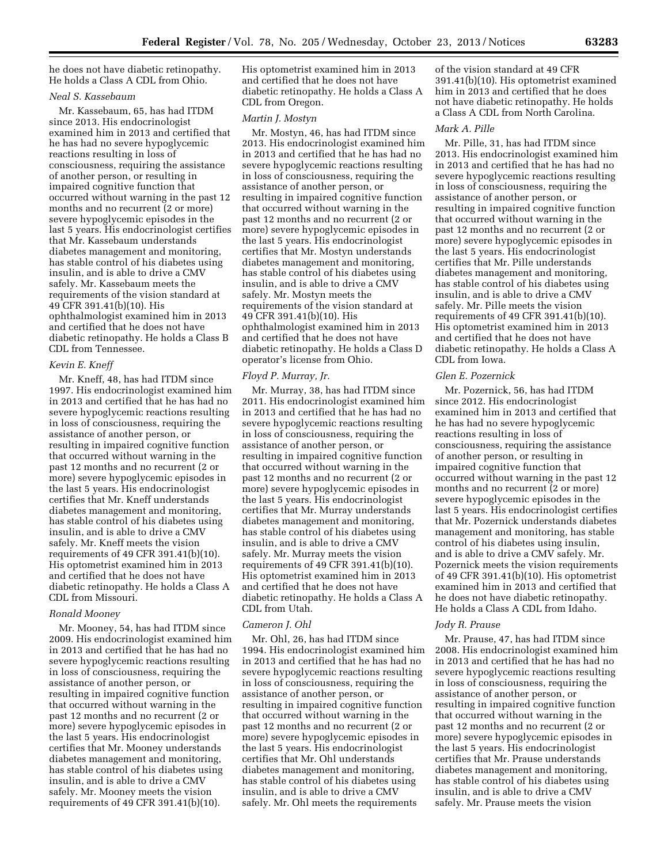he does not have diabetic retinopathy. He holds a Class A CDL from Ohio.

# *Neal S. Kassebaum*

Mr. Kassebaum, 65, has had ITDM since 2013. His endocrinologist examined him in 2013 and certified that he has had no severe hypoglycemic reactions resulting in loss of consciousness, requiring the assistance of another person, or resulting in impaired cognitive function that occurred without warning in the past 12 months and no recurrent (2 or more) severe hypoglycemic episodes in the last 5 years. His endocrinologist certifies that Mr. Kassebaum understands diabetes management and monitoring, has stable control of his diabetes using insulin, and is able to drive a CMV safely. Mr. Kassebaum meets the requirements of the vision standard at 49 CFR 391.41(b)(10). His ophthalmologist examined him in 2013 and certified that he does not have diabetic retinopathy. He holds a Class B CDL from Tennessee.

### *Kevin E. Kneff*

Mr. Kneff, 48, has had ITDM since 1997. His endocrinologist examined him in 2013 and certified that he has had no severe hypoglycemic reactions resulting in loss of consciousness, requiring the assistance of another person, or resulting in impaired cognitive function that occurred without warning in the past 12 months and no recurrent (2 or more) severe hypoglycemic episodes in the last 5 years. His endocrinologist certifies that Mr. Kneff understands diabetes management and monitoring, has stable control of his diabetes using insulin, and is able to drive a CMV safely. Mr. Kneff meets the vision requirements of 49 CFR 391.41(b)(10). His optometrist examined him in 2013 and certified that he does not have diabetic retinopathy. He holds a Class A CDL from Missouri.

### *Ronald Mooney*

Mr. Mooney, 54, has had ITDM since 2009. His endocrinologist examined him in 2013 and certified that he has had no severe hypoglycemic reactions resulting in loss of consciousness, requiring the assistance of another person, or resulting in impaired cognitive function that occurred without warning in the past 12 months and no recurrent (2 or more) severe hypoglycemic episodes in the last 5 years. His endocrinologist certifies that Mr. Mooney understands diabetes management and monitoring, has stable control of his diabetes using insulin, and is able to drive a CMV safely. Mr. Mooney meets the vision requirements of 49 CFR 391.41(b)(10).

His optometrist examined him in 2013 and certified that he does not have diabetic retinopathy. He holds a Class A CDL from Oregon.

#### *Martin J. Mostyn*

Mr. Mostyn, 46, has had ITDM since 2013. His endocrinologist examined him in 2013 and certified that he has had no severe hypoglycemic reactions resulting in loss of consciousness, requiring the assistance of another person, or resulting in impaired cognitive function that occurred without warning in the past 12 months and no recurrent (2 or more) severe hypoglycemic episodes in the last 5 years. His endocrinologist certifies that Mr. Mostyn understands diabetes management and monitoring, has stable control of his diabetes using insulin, and is able to drive a CMV safely. Mr. Mostyn meets the requirements of the vision standard at 49 CFR 391.41(b)(10). His ophthalmologist examined him in 2013 and certified that he does not have diabetic retinopathy. He holds a Class D operator's license from Ohio.

## *Floyd P. Murray, Jr.*

Mr. Murray, 38, has had ITDM since 2011. His endocrinologist examined him in 2013 and certified that he has had no severe hypoglycemic reactions resulting in loss of consciousness, requiring the assistance of another person, or resulting in impaired cognitive function that occurred without warning in the past 12 months and no recurrent (2 or more) severe hypoglycemic episodes in the last 5 years. His endocrinologist certifies that Mr. Murray understands diabetes management and monitoring, has stable control of his diabetes using insulin, and is able to drive a CMV safely. Mr. Murray meets the vision requirements of 49 CFR 391.41(b)(10). His optometrist examined him in 2013 and certified that he does not have diabetic retinopathy. He holds a Class A CDL from Utah.

## *Cameron J. Ohl*

Mr. Ohl, 26, has had ITDM since 1994. His endocrinologist examined him in 2013 and certified that he has had no severe hypoglycemic reactions resulting in loss of consciousness, requiring the assistance of another person, or resulting in impaired cognitive function that occurred without warning in the past 12 months and no recurrent (2 or more) severe hypoglycemic episodes in the last 5 years. His endocrinologist certifies that Mr. Ohl understands diabetes management and monitoring, has stable control of his diabetes using insulin, and is able to drive a CMV safely. Mr. Ohl meets the requirements

of the vision standard at 49 CFR 391.41(b)(10). His optometrist examined him in 2013 and certified that he does not have diabetic retinopathy. He holds a Class A CDL from North Carolina.

#### *Mark A. Pille*

Mr. Pille, 31, has had ITDM since 2013. His endocrinologist examined him in 2013 and certified that he has had no severe hypoglycemic reactions resulting in loss of consciousness, requiring the assistance of another person, or resulting in impaired cognitive function that occurred without warning in the past 12 months and no recurrent (2 or more) severe hypoglycemic episodes in the last 5 years. His endocrinologist certifies that Mr. Pille understands diabetes management and monitoring, has stable control of his diabetes using insulin, and is able to drive a CMV safely. Mr. Pille meets the vision requirements of 49 CFR 391.41(b)(10). His optometrist examined him in 2013 and certified that he does not have diabetic retinopathy. He holds a Class A CDL from Iowa.

## *Glen E. Pozernick*

Mr. Pozernick, 56, has had ITDM since 2012. His endocrinologist examined him in 2013 and certified that he has had no severe hypoglycemic reactions resulting in loss of consciousness, requiring the assistance of another person, or resulting in impaired cognitive function that occurred without warning in the past 12 months and no recurrent (2 or more) severe hypoglycemic episodes in the last 5 years. His endocrinologist certifies that Mr. Pozernick understands diabetes management and monitoring, has stable control of his diabetes using insulin, and is able to drive a CMV safely. Mr. Pozernick meets the vision requirements of 49 CFR 391.41(b)(10). His optometrist examined him in 2013 and certified that he does not have diabetic retinopathy. He holds a Class A CDL from Idaho.

#### *Jody R. Prause*

Mr. Prause, 47, has had ITDM since 2008. His endocrinologist examined him in 2013 and certified that he has had no severe hypoglycemic reactions resulting in loss of consciousness, requiring the assistance of another person, or resulting in impaired cognitive function that occurred without warning in the past 12 months and no recurrent (2 or more) severe hypoglycemic episodes in the last 5 years. His endocrinologist certifies that Mr. Prause understands diabetes management and monitoring, has stable control of his diabetes using insulin, and is able to drive a CMV safely. Mr. Prause meets the vision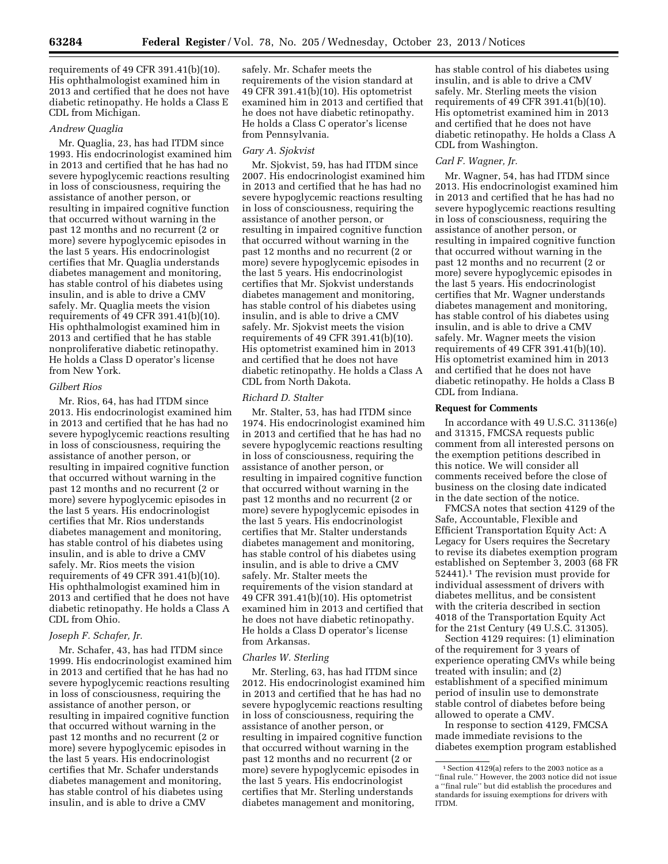requirements of 49 CFR 391.41(b)(10). His ophthalmologist examined him in 2013 and certified that he does not have diabetic retinopathy. He holds a Class E CDL from Michigan.

#### *Andrew Quaglia*

Mr. Quaglia, 23, has had ITDM since 1993. His endocrinologist examined him in 2013 and certified that he has had no severe hypoglycemic reactions resulting in loss of consciousness, requiring the assistance of another person, or resulting in impaired cognitive function that occurred without warning in the past 12 months and no recurrent (2 or more) severe hypoglycemic episodes in the last 5 years. His endocrinologist certifies that Mr. Quaglia understands diabetes management and monitoring, has stable control of his diabetes using insulin, and is able to drive a CMV safely. Mr. Quaglia meets the vision requirements of 49 CFR 391.41(b)(10). His ophthalmologist examined him in 2013 and certified that he has stable nonproliferative diabetic retinopathy. He holds a Class D operator's license from New York.

#### *Gilbert Rios*

Mr. Rios, 64, has had ITDM since 2013. His endocrinologist examined him in 2013 and certified that he has had no severe hypoglycemic reactions resulting in loss of consciousness, requiring the assistance of another person, or resulting in impaired cognitive function that occurred without warning in the past 12 months and no recurrent (2 or more) severe hypoglycemic episodes in the last 5 years. His endocrinologist certifies that Mr. Rios understands diabetes management and monitoring, has stable control of his diabetes using insulin, and is able to drive a CMV safely. Mr. Rios meets the vision requirements of 49 CFR 391.41(b)(10). His ophthalmologist examined him in 2013 and certified that he does not have diabetic retinopathy. He holds a Class A CDL from Ohio.

## *Joseph F. Schafer, Jr.*

Mr. Schafer, 43, has had ITDM since 1999. His endocrinologist examined him in 2013 and certified that he has had no severe hypoglycemic reactions resulting in loss of consciousness, requiring the assistance of another person, or resulting in impaired cognitive function that occurred without warning in the past 12 months and no recurrent (2 or more) severe hypoglycemic episodes in the last 5 years. His endocrinologist certifies that Mr. Schafer understands diabetes management and monitoring, has stable control of his diabetes using insulin, and is able to drive a CMV

safely. Mr. Schafer meets the requirements of the vision standard at 49 CFR 391.41(b)(10). His optometrist examined him in 2013 and certified that he does not have diabetic retinopathy. He holds a Class C operator's license from Pennsylvania.

#### *Gary A. Sjokvist*

Mr. Sjokvist, 59, has had ITDM since 2007. His endocrinologist examined him in 2013 and certified that he has had no severe hypoglycemic reactions resulting in loss of consciousness, requiring the assistance of another person, or resulting in impaired cognitive function that occurred without warning in the past 12 months and no recurrent (2 or more) severe hypoglycemic episodes in the last 5 years. His endocrinologist certifies that Mr. Sjokvist understands diabetes management and monitoring, has stable control of his diabetes using insulin, and is able to drive a CMV safely. Mr. Sjokvist meets the vision requirements of 49 CFR 391.41(b)(10). His optometrist examined him in 2013 and certified that he does not have diabetic retinopathy. He holds a Class A CDL from North Dakota.

### *Richard D. Stalter*

Mr. Stalter, 53, has had ITDM since 1974. His endocrinologist examined him in 2013 and certified that he has had no severe hypoglycemic reactions resulting in loss of consciousness, requiring the assistance of another person, or resulting in impaired cognitive function that occurred without warning in the past 12 months and no recurrent (2 or more) severe hypoglycemic episodes in the last 5 years. His endocrinologist certifies that Mr. Stalter understands diabetes management and monitoring, has stable control of his diabetes using insulin, and is able to drive a CMV safely. Mr. Stalter meets the requirements of the vision standard at 49 CFR 391.41(b)(10). His optometrist examined him in 2013 and certified that he does not have diabetic retinopathy. He holds a Class D operator's license from Arkansas.

#### *Charles W. Sterling*

Mr. Sterling, 63, has had ITDM since 2012. His endocrinologist examined him in 2013 and certified that he has had no severe hypoglycemic reactions resulting in loss of consciousness, requiring the assistance of another person, or resulting in impaired cognitive function that occurred without warning in the past 12 months and no recurrent (2 or more) severe hypoglycemic episodes in the last 5 years. His endocrinologist certifies that Mr. Sterling understands diabetes management and monitoring,

has stable control of his diabetes using insulin, and is able to drive a CMV safely. Mr. Sterling meets the vision requirements of 49 CFR 391.41(b)(10). His optometrist examined him in 2013 and certified that he does not have diabetic retinopathy. He holds a Class A CDL from Washington.

## *Carl F. Wagner, Jr.*

Mr. Wagner, 54, has had ITDM since 2013. His endocrinologist examined him in 2013 and certified that he has had no severe hypoglycemic reactions resulting in loss of consciousness, requiring the assistance of another person, or resulting in impaired cognitive function that occurred without warning in the past 12 months and no recurrent (2 or more) severe hypoglycemic episodes in the last 5 years. His endocrinologist certifies that Mr. Wagner understands diabetes management and monitoring, has stable control of his diabetes using insulin, and is able to drive a CMV safely. Mr. Wagner meets the vision requirements of 49 CFR 391.41(b)(10). His optometrist examined him in 2013 and certified that he does not have diabetic retinopathy. He holds a Class B CDL from Indiana.

## **Request for Comments**

In accordance with 49 U.S.C. 31136(e) and 31315, FMCSA requests public comment from all interested persons on the exemption petitions described in this notice. We will consider all comments received before the close of business on the closing date indicated in the date section of the notice.

FMCSA notes that section 4129 of the Safe, Accountable, Flexible and Efficient Transportation Equity Act: A Legacy for Users requires the Secretary to revise its diabetes exemption program established on September 3, 2003 (68 FR 52441).1 The revision must provide for individual assessment of drivers with diabetes mellitus, and be consistent with the criteria described in section 4018 of the Transportation Equity Act for the 21st Century (49 U.S.C. 31305).

Section 4129 requires: (1) elimination of the requirement for 3 years of experience operating CMVs while being treated with insulin; and (2) establishment of a specified minimum period of insulin use to demonstrate stable control of diabetes before being allowed to operate a CMV.

In response to section 4129, FMCSA made immediate revisions to the diabetes exemption program established

 $^{\rm 1}$  Section 4129(a) refers to the 2003 notice as a ''final rule.'' However, the 2003 notice did not issue a ''final rule'' but did establish the procedures and standards for issuing exemptions for drivers with ITDM.